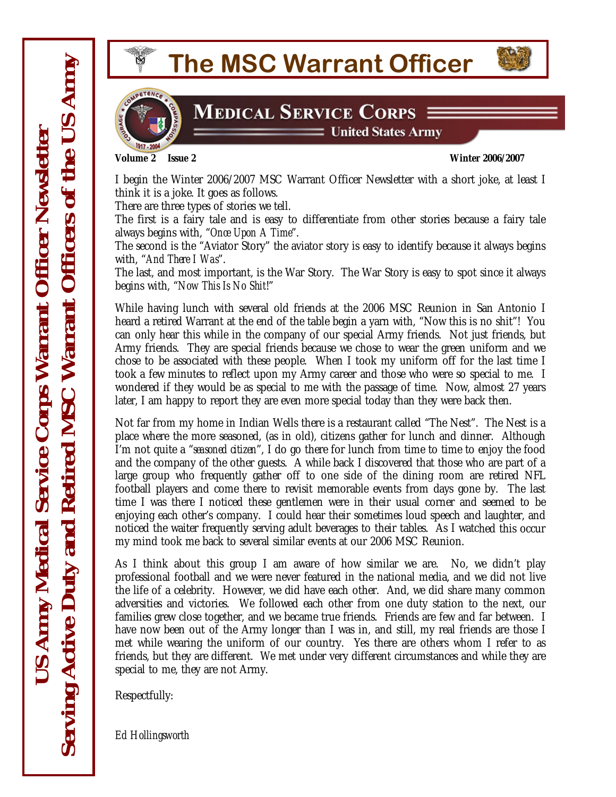

**MEDICAL SERVICE CORPS 3** 

 $\equiv$  United States Army

**Volume 2 Issue 2 Winter 2006/2007** 

I begin the Winter 2006/2007 MSC Warrant Officer Newsletter with a short joke, at least I think it is a joke. It goes as follows.

There are three types of stories we tell.

The first is a fairy tale and is easy to differentiate from other stories because a fairy tale always begins with, "*Once Upon A Time*".

The second is the "Aviator Story" the aviator story is easy to identify because it always begins with, "*And There I Was*".

The last, and most important, is the War Story. The War Story is easy to spot since it always begins with, "*Now This Is No Shit*!"

wondered if they would be as special to me with the passage of time. Now, almost 27 years While having lunch with several old friends at the 2006 MSC Reunion in San Antonio I heard a retired Warrant at the end of the table begin a yarn with, "Now this is no shit"! You can only hear this while in the company of our special Army friends. Not just friends, but Army friends. They are special friends because we chose to wear the green uniform and we chose to be associated with these people. When I took my uniform off for the last time I took a few minutes to reflect upon my Army career and those who were so special to me. I later, I am happy to report they are even more special today than they were back then.

noticed the waiter frequently serving adult beverages to their tables. As I watched this occur Not far from my home in Indian Wells there is a restaurant called "The Nest". The Nest is a place where the more seasoned, (as in old), citizens gather for lunch and dinner. Although I'm not quite a "*seasoned citizen*", I do go there for lunch from time to time to enjoy the food and the company of the other guests. A while back I discovered that those who are part of a large group who frequently gather off to one side of the dining room are retired NFL football players and come there to revisit memorable events from days gone by. The last time I was there I noticed these gentlemen were in their usual corner and seemed to be enjoying each other's company. I could hear their sometimes loud speech and laughter, and my mind took me back to several similar events at our 2006 MSC Reunion.

friends, but they are different. We met under very different circumstances and while they are special to me, they are not Army. As I think about this group I am aware of how similar we are. No, we didn't play professional football and we were never featured in the national media, and we did not live the life of a celebrity. However, we did have each other. And, we did share many common adversities and victories. We followed each other from one duty station to the next, our families grew close together, and we became true friends. Friends are few and far between. I have now been out of the Army longer than I was in, and still, my real friends are those I met while wearing the uniform of our country. Yes there are others whom I refer to as

Respectfully:

*d Hollingsworth E*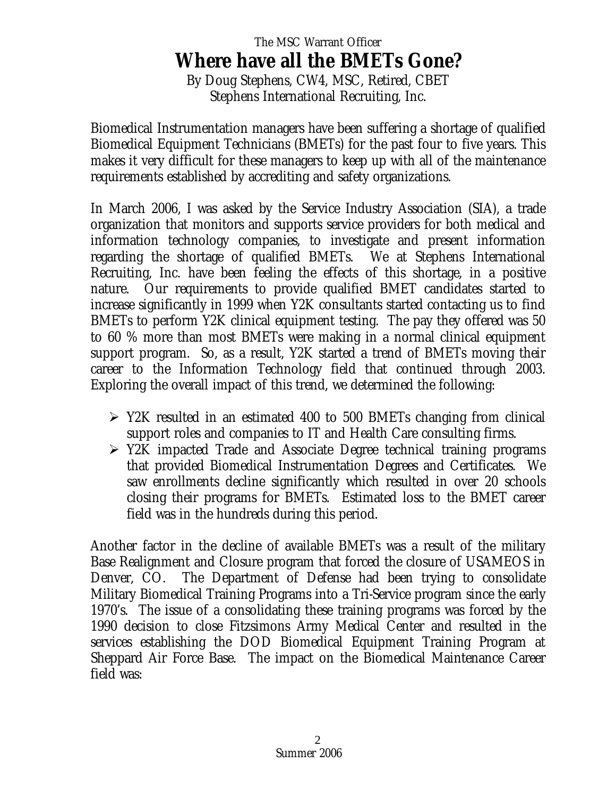# The MSC Warrant Officer **Where have all the BMETs Gone?**

By Doug Stephens, CW4, MSC, Retired, CBET Stephens International Recruiting, Inc.

Biomedical Instrumentation managers have been suffering a shortage of qualified Biomedical Equipment Technicians (BMETs) for the past four to five years. This makes it very difficult for these managers to keep up with all of the maintenance requirements established by accrediting and safety organizations.

In March 2006, I was asked by the Service Industry Association (SIA), a trade organization that monitors and supports service providers for both medical and information technology companies, to investigate and present information regarding the shortage of qualified BMETs. We at Stephens International Recruiting, Inc. have been feeling the effects of this shortage, in a positive nature. Our requirements to provide qualified BMET candidates started to increase significantly in 1999 when Y2K consultants started contacting us to find BMETs to perform Y2K clinical equipment testing. The pay they offered was 50 to 60 % more than most BMETs were making in a normal clinical equipment support program. So, as a result, Y2K started a trend of BMETs moving their career to the Information Technology field that continued through 2003. Exploring the overall impact of this trend, we determined the following:

- $\triangleright$  Y2K resulted in an estimated 400 to 500 BMETs changing from clinical support roles and companies to IT and Health Care consulting firms.
- $\triangleright$  Y2K impacted Trade and Associate Degree technical training programs that provided Biomedical Instrumentation Degrees and Certificates. We saw enrollments decline significantly which resulted in over 20 schools closing their programs for BMETs. Estimated loss to the BMET career field was in the hundreds during this period.

Another factor in the decline of available BMETs was a result of the military Base Realignment and Closure program that forced the closure of USAMEOS in Denver, CO. The Department of Defense had been trying to consolidate Military Biomedical Training Programs into a Tri-Service program since the early 1970's. The issue of a consolidating these training programs was forced by the 1990 decision to close Fitzsimons Army Medical Center and resulted in the services establishing the DOD Biomedical Equipment Training Program at Sheppard Air Force Base. The impact on the Biomedical Maintenance Career field was: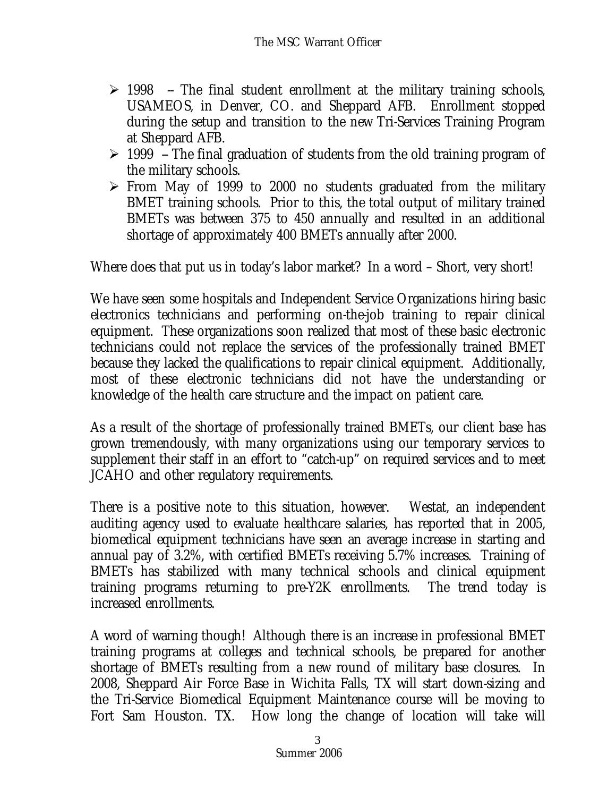- $\geq$  1998 -- The final student enrollment at the military training schools, USAMEOS, in Denver, CO. and Sheppard AFB. Enrollment stopped during the setup and transition to the new Tri-Services Training Program at Sheppard AFB.
- $\geq$  1999 -- The final graduation of students from the old training program of the military schools.
- $\triangleright$  From May of 1999 to 2000 no students graduated from the military BMET training schools. Prior to this, the total output of military trained BMETs was between 375 to 450 annually and resulted in an additional shortage of approximately 400 BMETs annually after 2000.

Where does that put us in today's labor market? In a word – Short, very short!

We have seen some hospitals and Independent Service Organizations hiring basic electronics technicians and performing on-the-job training to repair clinical equipment. These organizations soon realized that most of these basic electronic technicians could not replace the services of the professionally trained BMET because they lacked the qualifications to repair clinical equipment. Additionally, most of these electronic technicians did not have the understanding or knowledge of the health care structure and the impact on patient care.

As a result of the shortage of professionally trained BMETs, our client base has grown tremendously, with many organizations using our temporary services to supplement their staff in an effort to "catch-up" on required services and to meet JCAHO and other regulatory requirements.

There is a positive note to this situation, however. Westat, an independent auditing agency used to evaluate healthcare salaries, has reported that in 2005, biomedical equipment technicians have seen an average increase in starting and annual pay of 3.2%, with certified BMETs receiving 5.7% increases. Training of BMETs has stabilized with many technical schools and clinical equipment training programs returning to pre-Y2K enrollments. The trend today is increased enrollments.

A word of warning though! Although there is an increase in professional BMET training programs at colleges and technical schools, be prepared for another shortage of BMETs resulting from a new round of military base closures. In 2008, Sheppard Air Force Base in Wichita Falls, TX will start down-sizing and the Tri-Service Biomedical Equipment Maintenance course will be moving to Fort Sam Houston. TX. How long the change of location will take will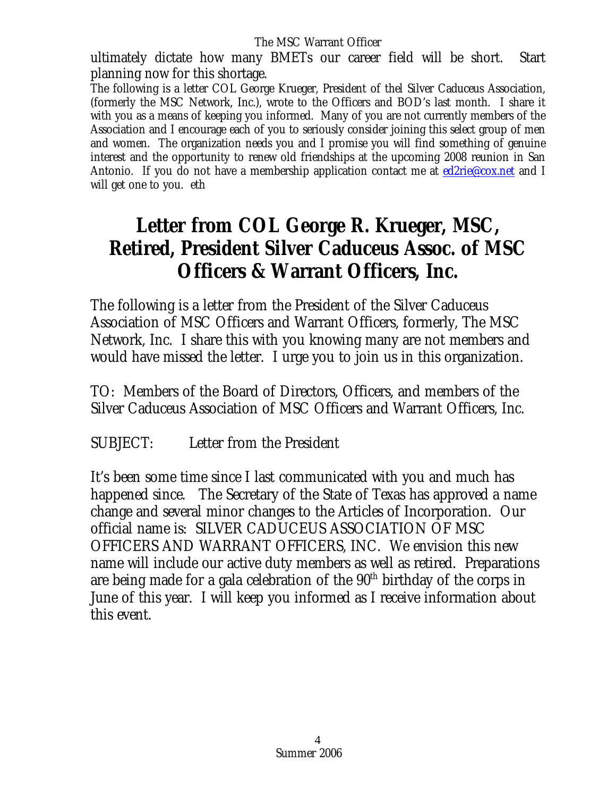ultimately dictate how many BMETs our career field will be short. Start planning now for this shortage.

The following is a letter COL George Krueger, President of thel Silver Caduceus Association, (formerly the MSC Network, Inc.), wrote to the Officers and BOD's last month. I share it with you as a means of keeping you informed. Many of you are not currently members of the Association and I encourage each of you to seriously consider joining this select group of men and women. The organization needs you and I promise you will find something of genuine interest and the opportunity to renew old friendships at the upcoming 2008 reunion in San Antonio. If you do not have a membership application contact me at [ed2rie@cox.net](mailto:ed2rie@cox.net) and I will get one to you. eth

## **Letter from COL George R. Krueger, MSC, Retired, President Silver Caduceus Assoc. of MSC Officers & Warrant Officers, Inc.**

The following is a letter from the President of the Silver Caduceus Association of MSC Officers and Warrant Officers, formerly, The MSC Network, Inc. I share this with you knowing many are not members and would have missed the letter. I urge you to join us in this organization.

TO: Members of the Board of Directors, Officers, and members of the Silver Caduceus Association of MSC Officers and Warrant Officers, Inc.

SUBJECT: Letter from the President

It's been some time since I last communicated with you and much has happened since. The Secretary of the State of Texas has approved a name change and several minor changes to the Articles of Incorporation. Our official name is: SILVER CADUCEUS ASSOCIATION OF MSC OFFICERS AND WARRANT OFFICERS, INC. We envision this new name will include our active duty members as well as retired. Preparations are being made for a gala celebration of the 90<sup>th</sup> birthday of the corps in June of this year. I will keep you informed as I receive information about this event.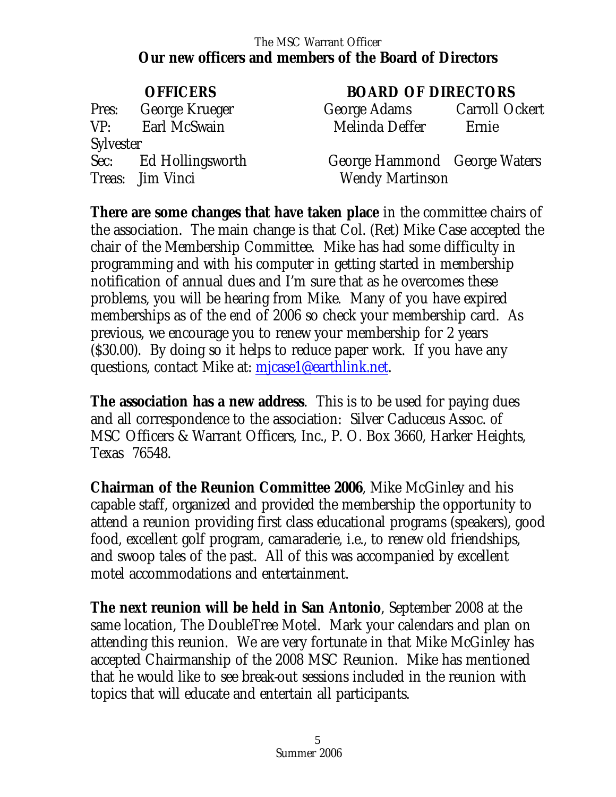#### The MSC Warrant Officer **Our new officers and members of the Board of Directors**

Pres: George Krueger Garroll Ockert VP: Earl McSwain **Sylvester** Treas: Jim Vinci Wendy Martinson

#### **OFFICERS BOARD OF DIRECTORS**

| George Adams   | Carroll Ockert |
|----------------|----------------|
| Melinda Deffer | Ernie          |

Sec: Ed Hollingsworth George Hammond George Waters

**There are some changes that have taken place** in the committee chairs of the association. The main change is that Col. (Ret) Mike Case accepted the chair of the Membership Committee. Mike has had some difficulty in programming and with his computer in getting started in membership notification of annual dues and I'm sure that as he overcomes these problems, you will be hearing from Mike. Many of you have expired memberships as of the end of 2006 so check your membership card. As previous, we encourage you to renew your membership for 2 years (\$30.00). By doing so it helps to reduce paper work. If you have any questions, contact Mike at: [mjcase1@earthlink.net.](mailto:mjcase1@earthlink.net)

**The association has a new address**. This is to be used for paying dues and all correspondence to the association: Silver Caduceus Assoc. of MSC Officers & Warrant Officers, Inc., P. O. Box 3660, Harker Heights, Texas 76548.

**Chairman of the Reunion Committee 2006**, Mike McGinley and his capable staff, organized and provided the membership the opportunity to attend a reunion providing first class educational programs (speakers), good food, excellent golf program, camaraderie, i.e., to renew old friendships, and swoop tales of the past. All of this was accompanied by excellent motel accommodations and entertainment.

**The next reunion will be held in San Antonio**, September 2008 at the same location, The DoubleTree Motel. Mark your calendars and plan on attending this reunion. We are very fortunate in that Mike McGinley has accepted Chairmanship of the 2008 MSC Reunion. Mike has mentioned that he would like to see break-out sessions included in the reunion with topics that will educate and entertain all participants.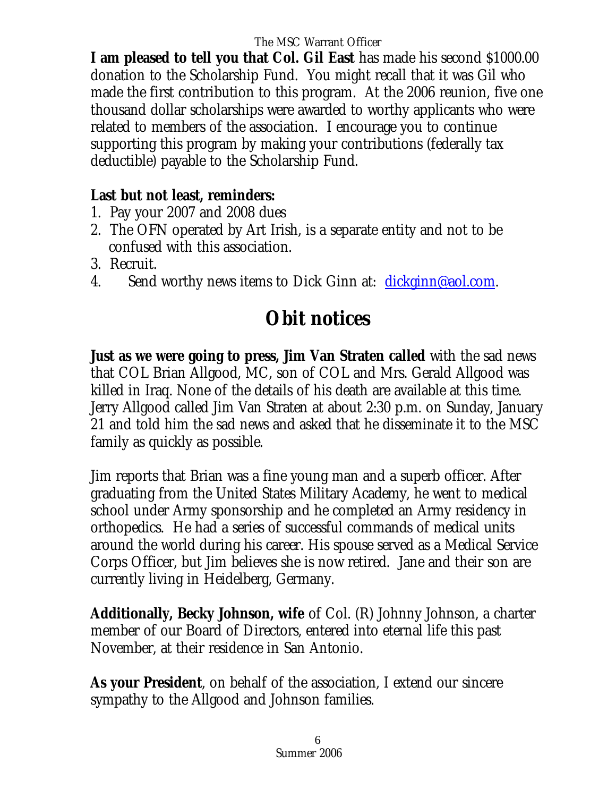**I am pleased to tell you that Col. Gil East** has made his second \$1000.00 donation to the Scholarship Fund. You might recall that it was Gil who made the first contribution to this program. At the 2006 reunion, five one thousand dollar scholarships were awarded to worthy applicants who were related to members of the association. I encourage you to continue supporting this program by making your contributions (federally tax deductible) payable to the Scholarship Fund.

#### **Last but not least, reminders:**

- 1. Pay your 2007 and 2008 dues
- 2. The OFN operated by Art Irish, is a separate entity and not to be confused with this association.
- 3. Recruit.
- 4. Send worthy news items to Dick Ginn at: [dickginn@aol.com](mailto:dickginn@aol.com).

# **Obit notices**

**Just as we were going to press, Jim Van Straten called** with the sad news that COL Brian Allgood, MC, son of COL and Mrs. Gerald Allgood was killed in Iraq. None of the details of his death are available at this time. Jerry Allgood called Jim Van Straten at about 2:30 p.m. on Sunday, January 21 and told him the sad news and asked that he disseminate it to the MSC family as quickly as possible.

Jim reports that Brian was a fine young man and a superb officer. After graduating from the United States Military Academy, he went to medical school under Army sponsorship and he completed an Army residency in orthopedics. He had a series of successful commands of medical units around the world during his career. His spouse served as a Medical Service Corps Officer, but Jim believes she is now retired. Jane and their son are currently living in Heidelberg, Germany.

**Additionally, Becky Johnson, wife** of Col. (R) Johnny Johnson, a charter member of our Board of Directors, entered into eternal life this past November, at their residence in San Antonio.

**As your President**, on behalf of the association, I extend our sincere sympathy to the Allgood and Johnson families.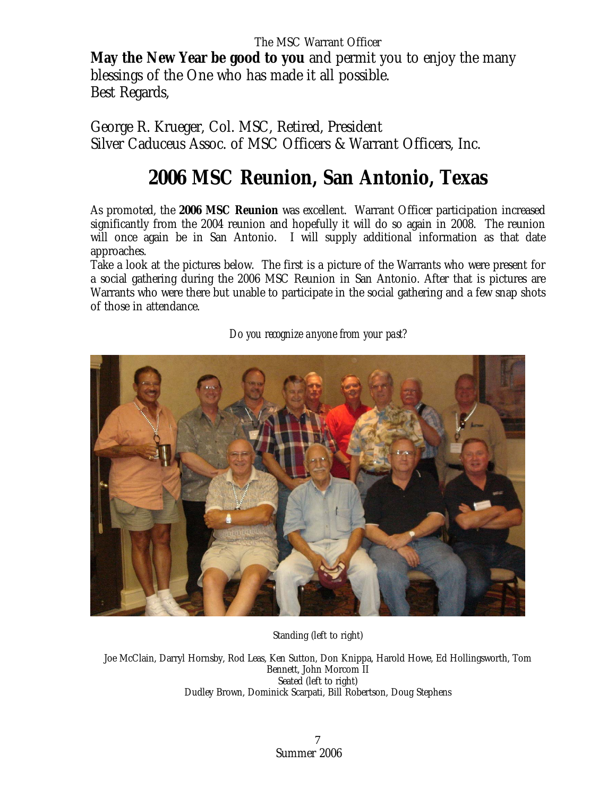**May the New Year be good to you** and permit you to enjoy the many blessings of the One who has made it all possible. Best Regards,

George R. Krueger, Col. MSC, Retired, President Silver Caduceus Assoc. of MSC Officers & Warrant Officers, Inc.

## **2006 MSC Reunion, San Antonio, Texas**

As promoted, the **2006 MSC Reunion** was excellent. Warrant Officer participation increased significantly from the 2004 reunion and hopefully it will do so again in 2008. The reunion will once again be in San Antonio. I will supply additional information as that date approaches.

Take a look at the pictures below. The first is a picture of the Warrants who were present for a social gathering during the 2006 MSC Reunion in San Antonio. After that is pictures are Warrants who were there but unable to participate in the social gathering and a few snap shots of those in attendance.

*Do you recognize anyone from your past?* 

Standing (left to right)

Joe McClain, Darryl Hornsby, Rod Leas, Ken Sutton, Don Knippa, Harold Howe, Ed Hollingsworth, Tom Bennett, John Morcom II Seated (left to right) Dudley Brown, Dominick Scarpati, Bill Robertson, Doug Stephens

> Summer 2006 7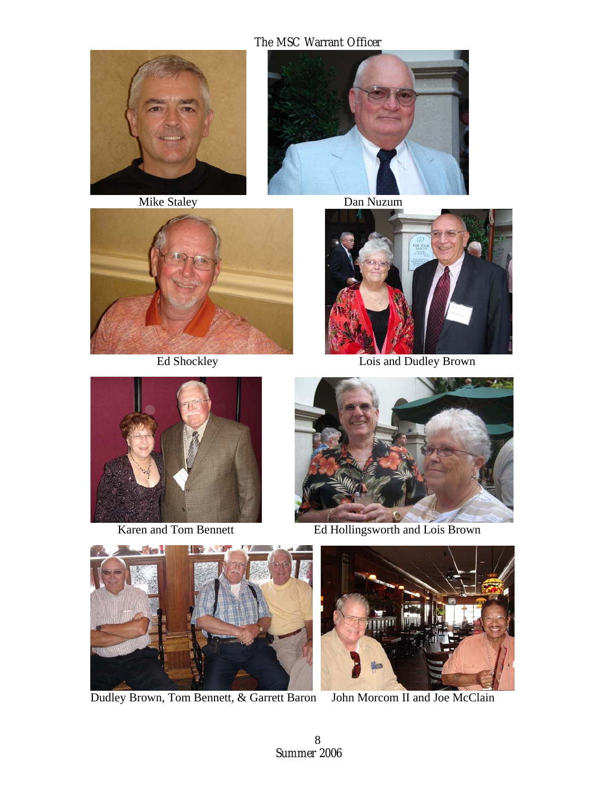







Ed Shockley Lois and Dudley Brown





Karen and Tom Bennett Ed Hollingsworth and Lois Brown



Dudley Brown, Tom Bennett, & Garrett Baron John Morcom II and Joe McClain

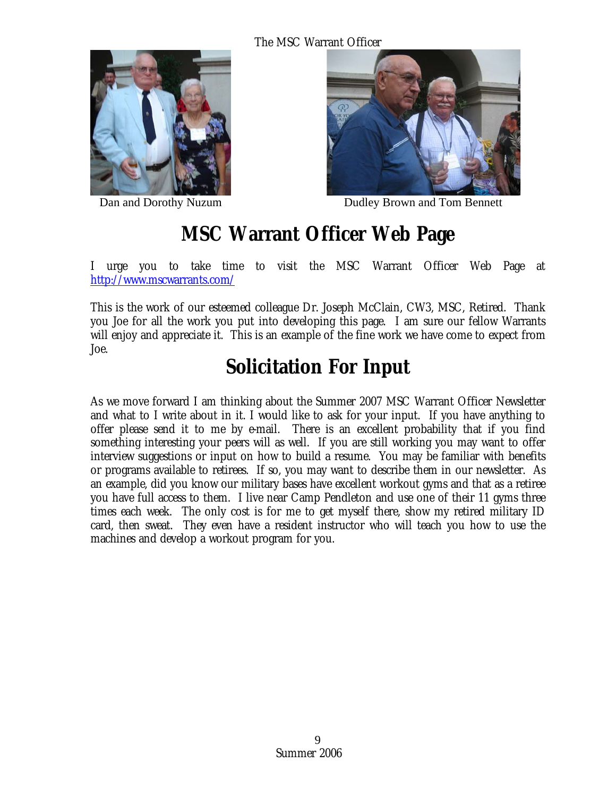



Dan and Dorothy Nuzum Dudley Brown and Tom Bennett

## **MSC Warrant Officer Web Page**

I urge you to take time to visit the MSC Warrant Officer Web Page at <http://www.mscwarrants.com/>

This is the work of our esteemed colleague Dr. Joseph McClain, CW3, MSC, Retired. Thank you Joe for all the work you put into developing this page. I am sure our fellow Warrants will enjoy and appreciate it. This is an example of the fine work we have come to expect from Joe.

# **Solicitation For Input**

As we move forward I am thinking about the Summer 2007 MSC Warrant Officer Newsletter and what to I write about in it. I would like to ask for your input. If you have anything to offer please send it to me by e-mail. There is an excellent probability that if you find something interesting your peers will as well. If you are still working you may want to offer interview suggestions or input on how to build a resume. You may be familiar with benefits or programs available to retirees. If so, you may want to describe them in our newsletter. As an example, did you know our military bases have excellent workout gyms and that as a retiree you have full access to them. I live near Camp Pendleton and use one of their 11 gyms three times each week. The only cost is for me to get myself there, show my retired military ID card, then sweat. They even have a resident instructor who will teach you how to use the machines and develop a workout program for you.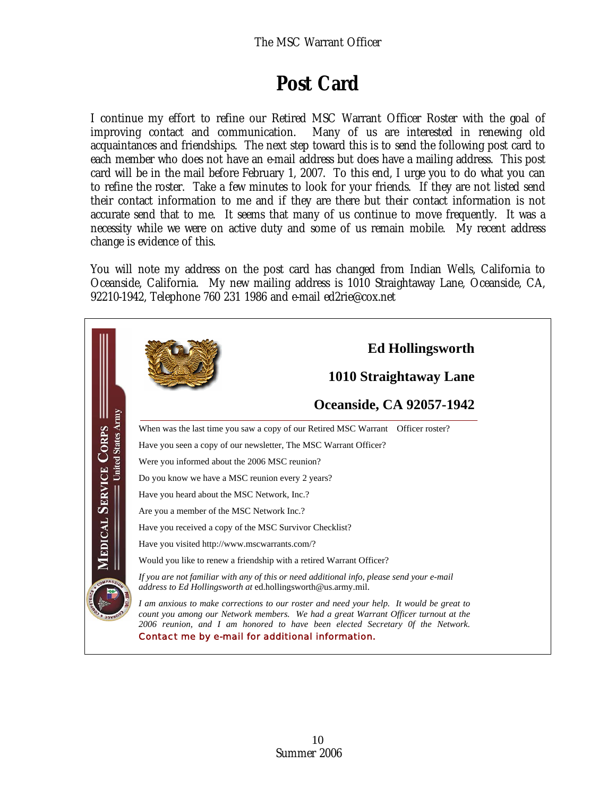# **Post Card**

I continue my effort to refine our Retired MSC Warrant Officer Roster with the goal of improving contact and communication. Many of us are interested in renewing old acquaintances and friendships. The next step toward this is to send the following post card to each member who does not have an e-mail address but does have a mailing address. This post card will be in the mail before February 1, 2007. To this end, I urge you to do what you can to refine the roster. Take a few minutes to look for your friends. If they are not listed send their contact information to me and if they are there but their contact information is not accurate send that to me. It seems that many of us continue to move frequently. It was a necessity while we were on active duty and some of us remain mobile. My recent address change is evidence of this.

You will note my address on the post card has changed from Indian Wells, California to Oceanside, California. My new mailing address is 1010 Straightaway Lane, Oceanside, CA, 92210-1942, Telephone 760 231 1986 and e-mail ed2rie@cox.net

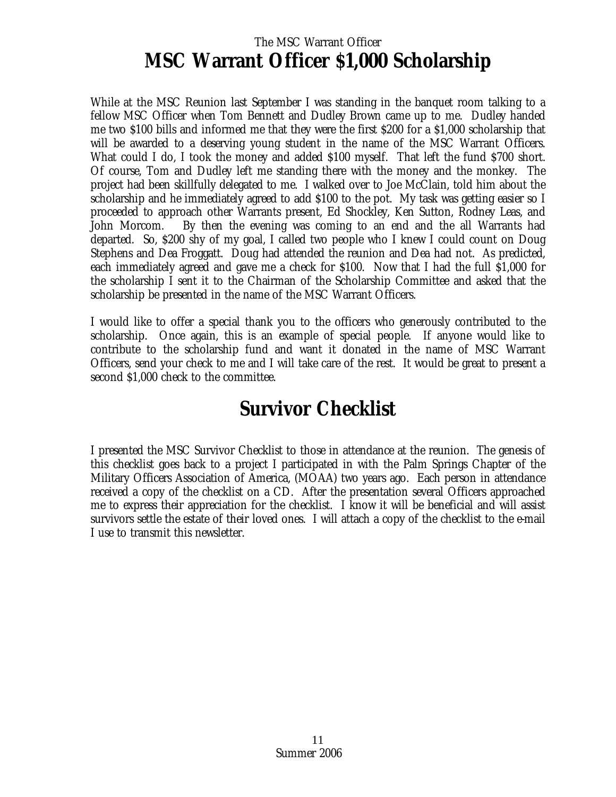#### The MSC Warrant Officer **MSC Warrant Officer \$1,000 Scholarship**

While at the MSC Reunion last September I was standing in the banquet room talking to a fellow MSC Officer when Tom Bennett and Dudley Brown came up to me. Dudley handed me two \$100 bills and informed me that they were the first \$200 for a \$1,000 scholarship that will be awarded to a deserving young student in the name of the MSC Warrant Officers. What could I do, I took the money and added \$100 myself. That left the fund \$700 short. Of course, Tom and Dudley left me standing there with the money and the monkey. The project had been skillfully delegated to me. I walked over to Joe McClain, told him about the scholarship and he immediately agreed to add \$100 to the pot. My task was getting easier so I proceeded to approach other Warrants present, Ed Shockley, Ken Sutton, Rodney Leas, and John Morcom. By then the evening was coming to an end and the all Warrants had departed. So, \$200 shy of my goal, I called two people who I knew I could count on Doug Stephens and Dea Froggatt. Doug had attended the reunion and Dea had not. As predicted, each immediately agreed and gave me a check for \$100. Now that I had the full \$1,000 for the scholarship I sent it to the Chairman of the Scholarship Committee and asked that the scholarship be presented in the name of the MSC Warrant Officers.

I would like to offer a special thank you to the officers who generously contributed to the scholarship. Once again, this is an example of special people. If anyone would like to contribute to the scholarship fund and want it donated in the name of MSC Warrant Officers, send your check to me and I will take care of the rest. It would be great to present a second \$1,000 check to the committee.

#### **Survivor Checklist**

I presented the MSC Survivor Checklist to those in attendance at the reunion. The genesis of this checklist goes back to a project I participated in with the Palm Springs Chapter of the Military Officers Association of America, (MOAA) two years ago. Each person in attendance received a copy of the checklist on a CD. After the presentation several Officers approached me to express their appreciation for the checklist. I know it will be beneficial and will assist survivors settle the estate of their loved ones. I will attach a copy of the checklist to the e-mail I use to transmit this newsletter.